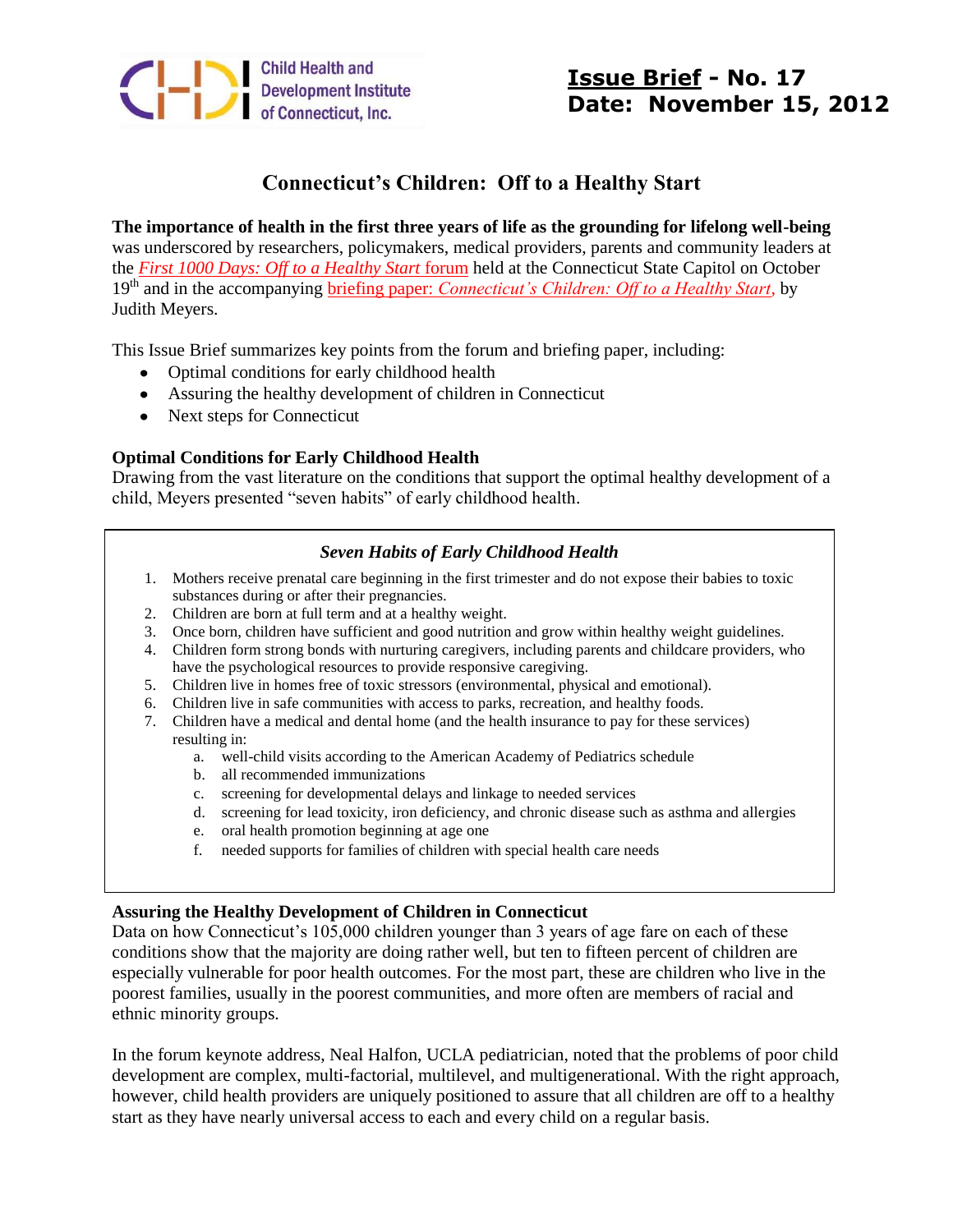

# **Connecticut's Children: Off to a Healthy Start**

**The importance of health in the first three years of life as the grounding for lifelong well-being**  was underscored by researchers, policymakers, medical providers, parents and community leaders at the *[First 1000 Days: Off to a Healthy Start](http://www.chdi.org/news-detail.php?id=115)* forum held at the Connecticut State Capitol on October 19th and in the accompanying briefing paper: *[Connecticut's Children: Off to a Healthy Start](http://www.chdi.org/news-detail.php?id=115)*, by Judith Meyers.

This Issue Brief summarizes key points from the forum and briefing paper, including:

- Optimal conditions for early childhood health
- Assuring the healthy development of children in Connecticut
- Next steps for Connecticut

## **Optimal Conditions for Early Childhood Health**

Drawing from the vast literature on the conditions that support the optimal healthy development of a child, Meyers presented "seven habits" of early childhood health.

### *Seven Habits of Early Childhood Health*

- 1. Mothers receive prenatal care beginning in the first trimester and do not expose their babies to toxic substances during or after their pregnancies.
- 2. Children are born at full term and at a healthy weight.
- 3. Once born, children have sufficient and good nutrition and grow within healthy weight guidelines.
- 4. Children form strong bonds with nurturing caregivers, including parents and childcare providers, who have the psychological resources to provide responsive caregiving.
- 5. Children live in homes free of toxic stressors (environmental, physical and emotional).
- 6. Children live in safe communities with access to parks, recreation, and healthy foods.
- 7. Children have a medical and dental home (and the health insurance to pay for these services) resulting in:
	- a. well-child visits according to the American Academy of Pediatrics schedule
	- b. all recommended immunizations
	- c. screening for developmental delays and linkage to needed services
	- d. screening for lead toxicity, iron deficiency, and chronic disease such as asthma and allergies
	- e. oral health promotion beginning at age one
	- f. needed supports for families of children with special health care needs

#### **Assuring the Healthy Development of Children in Connecticut**

Data on how Connecticut's 105,000 children younger than 3 years of age fare on each of these conditions show that the majority are doing rather well, but ten to fifteen percent of children are especially vulnerable for poor health outcomes. For the most part, these are children who live in the poorest families, usually in the poorest communities, and more often are members of racial and ethnic minority groups.

In the forum keynote address, Neal Halfon, UCLA pediatrician, noted that the problems of poor child development are complex, multi-factorial, multilevel, and multigenerational. With the right approach, however, child health providers are uniquely positioned to assure that all children are off to a healthy start as they have nearly universal access to each and every child on a regular basis.